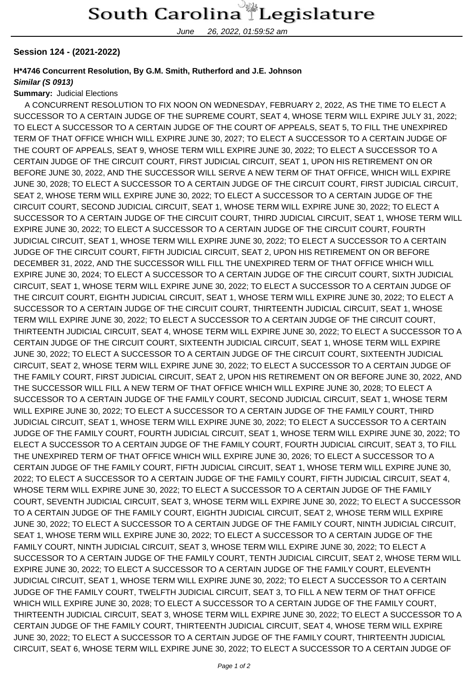June 26, 2022, 01:59:52 am

### **Session 124 - (2021-2022)**

## **H\*4746 Concurrent Resolution, By G.M. Smith, Rutherford and J.E. Johnson**

#### **Similar (S 0913)**

#### **Summary:** Judicial Elections

 A CONCURRENT RESOLUTION TO FIX NOON ON WEDNESDAY, FEBRUARY 2, 2022, AS THE TIME TO ELECT A SUCCESSOR TO A CERTAIN JUDGE OF THE SUPREME COURT, SEAT 4, WHOSE TERM WILL EXPIRE JULY 31, 2022; TO ELECT A SUCCESSOR TO A CERTAIN JUDGE OF THE COURT OF APPEALS, SEAT 5, TO FILL THE UNEXPIRED TERM OF THAT OFFICE WHICH WILL EXPIRE JUNE 30, 2027; TO ELECT A SUCCESSOR TO A CERTAIN JUDGE OF THE COURT OF APPEALS, SEAT 9, WHOSE TERM WILL EXPIRE JUNE 30, 2022; TO ELECT A SUCCESSOR TO A CERTAIN JUDGE OF THE CIRCUIT COURT, FIRST JUDICIAL CIRCUIT, SEAT 1, UPON HIS RETIREMENT ON OR BEFORE JUNE 30, 2022, AND THE SUCCESSOR WILL SERVE A NEW TERM OF THAT OFFICE, WHICH WILL EXPIRE JUNE 30, 2028; TO ELECT A SUCCESSOR TO A CERTAIN JUDGE OF THE CIRCUIT COURT, FIRST JUDICIAL CIRCUIT, SEAT 2, WHOSE TERM WILL EXPIRE JUNE 30, 2022; TO ELECT A SUCCESSOR TO A CERTAIN JUDGE OF THE CIRCUIT COURT, SECOND JUDICIAL CIRCUIT, SEAT 1, WHOSE TERM WILL EXPIRE JUNE 30, 2022; TO ELECT A SUCCESSOR TO A CERTAIN JUDGE OF THE CIRCUIT COURT, THIRD JUDICIAL CIRCUIT, SEAT 1, WHOSE TERM WILL EXPIRE JUNE 30, 2022; TO ELECT A SUCCESSOR TO A CERTAIN JUDGE OF THE CIRCUIT COURT, FOURTH JUDICIAL CIRCUIT, SEAT 1, WHOSE TERM WILL EXPIRE JUNE 30, 2022; TO ELECT A SUCCESSOR TO A CERTAIN JUDGE OF THE CIRCUIT COURT, FIFTH JUDICIAL CIRCUIT, SEAT 2, UPON HIS RETIREMENT ON OR BEFORE DECEMBER 31, 2022, AND THE SUCCESSOR WILL FILL THE UNEXPIRED TERM OF THAT OFFICE WHICH WILL EXPIRE JUNE 30, 2024; TO ELECT A SUCCESSOR TO A CERTAIN JUDGE OF THE CIRCUIT COURT, SIXTH JUDICIAL CIRCUIT, SEAT 1, WHOSE TERM WILL EXPIRE JUNE 30, 2022; TO ELECT A SUCCESSOR TO A CERTAIN JUDGE OF THE CIRCUIT COURT, EIGHTH JUDICIAL CIRCUIT, SEAT 1, WHOSE TERM WILL EXPIRE JUNE 30, 2022; TO ELECT A SUCCESSOR TO A CERTAIN JUDGE OF THE CIRCUIT COURT, THIRTEENTH JUDICIAL CIRCUIT, SEAT 1, WHOSE TERM WILL EXPIRE JUNE 30, 2022; TO ELECT A SUCCESSOR TO A CERTAIN JUDGE OF THE CIRCUIT COURT, THIRTEENTH JUDICIAL CIRCUIT, SEAT 4, WHOSE TERM WILL EXPIRE JUNE 30, 2022; TO ELECT A SUCCESSOR TO A CERTAIN JUDGE OF THE CIRCUIT COURT, SIXTEENTH JUDICIAL CIRCUIT, SEAT 1, WHOSE TERM WILL EXPIRE JUNE 30, 2022; TO ELECT A SUCCESSOR TO A CERTAIN JUDGE OF THE CIRCUIT COURT, SIXTEENTH JUDICIAL CIRCUIT, SEAT 2, WHOSE TERM WILL EXPIRE JUNE 30, 2022; TO ELECT A SUCCESSOR TO A CERTAIN JUDGE OF THE FAMILY COURT, FIRST JUDICIAL CIRCUIT, SEAT 2, UPON HIS RETIREMENT ON OR BEFORE JUNE 30, 2022, AND THE SUCCESSOR WILL FILL A NEW TERM OF THAT OFFICE WHICH WILL EXPIRE JUNE 30, 2028; TO ELECT A SUCCESSOR TO A CERTAIN JUDGE OF THE FAMILY COURT, SECOND JUDICIAL CIRCUIT, SEAT 1, WHOSE TERM WILL EXPIRE JUNE 30, 2022; TO ELECT A SUCCESSOR TO A CERTAIN JUDGE OF THE FAMILY COURT, THIRD JUDICIAL CIRCUIT, SEAT 1, WHOSE TERM WILL EXPIRE JUNE 30, 2022; TO ELECT A SUCCESSOR TO A CERTAIN JUDGE OF THE FAMILY COURT, FOURTH JUDICIAL CIRCUIT, SEAT 1, WHOSE TERM WILL EXPIRE JUNE 30, 2022; TO ELECT A SUCCESSOR TO A CERTAIN JUDGE OF THE FAMILY COURT, FOURTH JUDICIAL CIRCUIT, SEAT 3, TO FILL THE UNEXPIRED TERM OF THAT OFFICE WHICH WILL EXPIRE JUNE 30, 2026; TO ELECT A SUCCESSOR TO A CERTAIN JUDGE OF THE FAMILY COURT, FIFTH JUDICIAL CIRCUIT, SEAT 1, WHOSE TERM WILL EXPIRE JUNE 30, 2022; TO ELECT A SUCCESSOR TO A CERTAIN JUDGE OF THE FAMILY COURT, FIFTH JUDICIAL CIRCUIT, SEAT 4, WHOSE TERM WILL EXPIRE JUNE 30, 2022; TO ELECT A SUCCESSOR TO A CERTAIN JUDGE OF THE FAMILY COURT, SEVENTH JUDICIAL CIRCUIT, SEAT 3, WHOSE TERM WILL EXPIRE JUNE 30, 2022; TO ELECT A SUCCESSOR TO A CERTAIN JUDGE OF THE FAMILY COURT, EIGHTH JUDICIAL CIRCUIT, SEAT 2, WHOSE TERM WILL EXPIRE JUNE 30, 2022; TO ELECT A SUCCESSOR TO A CERTAIN JUDGE OF THE FAMILY COURT, NINTH JUDICIAL CIRCUIT, SEAT 1, WHOSE TERM WILL EXPIRE JUNE 30, 2022; TO ELECT A SUCCESSOR TO A CERTAIN JUDGE OF THE FAMILY COURT, NINTH JUDICIAL CIRCUIT, SEAT 3, WHOSE TERM WILL EXPIRE JUNE 30, 2022; TO ELECT A SUCCESSOR TO A CERTAIN JUDGE OF THE FAMILY COURT, TENTH JUDICIAL CIRCUIT, SEAT 2, WHOSE TERM WILL EXPIRE JUNE 30, 2022; TO ELECT A SUCCESSOR TO A CERTAIN JUDGE OF THE FAMILY COURT, ELEVENTH JUDICIAL CIRCUIT, SEAT 1, WHOSE TERM WILL EXPIRE JUNE 30, 2022; TO ELECT A SUCCESSOR TO A CERTAIN JUDGE OF THE FAMILY COURT, TWELFTH JUDICIAL CIRCUIT, SEAT 3, TO FILL A NEW TERM OF THAT OFFICE WHICH WILL EXPIRE JUNE 30, 2028; TO ELECT A SUCCESSOR TO A CERTAIN JUDGE OF THE FAMILY COURT, THIRTEENTH JUDICIAL CIRCUIT, SEAT 3, WHOSE TERM WILL EXPIRE JUNE 30, 2022; TO ELECT A SUCCESSOR TO A CERTAIN JUDGE OF THE FAMILY COURT, THIRTEENTH JUDICIAL CIRCUIT, SEAT 4, WHOSE TERM WILL EXPIRE JUNE 30, 2022; TO ELECT A SUCCESSOR TO A CERTAIN JUDGE OF THE FAMILY COURT, THIRTEENTH JUDICIAL CIRCUIT, SEAT 6, WHOSE TERM WILL EXPIRE JUNE 30, 2022; TO ELECT A SUCCESSOR TO A CERTAIN JUDGE OF